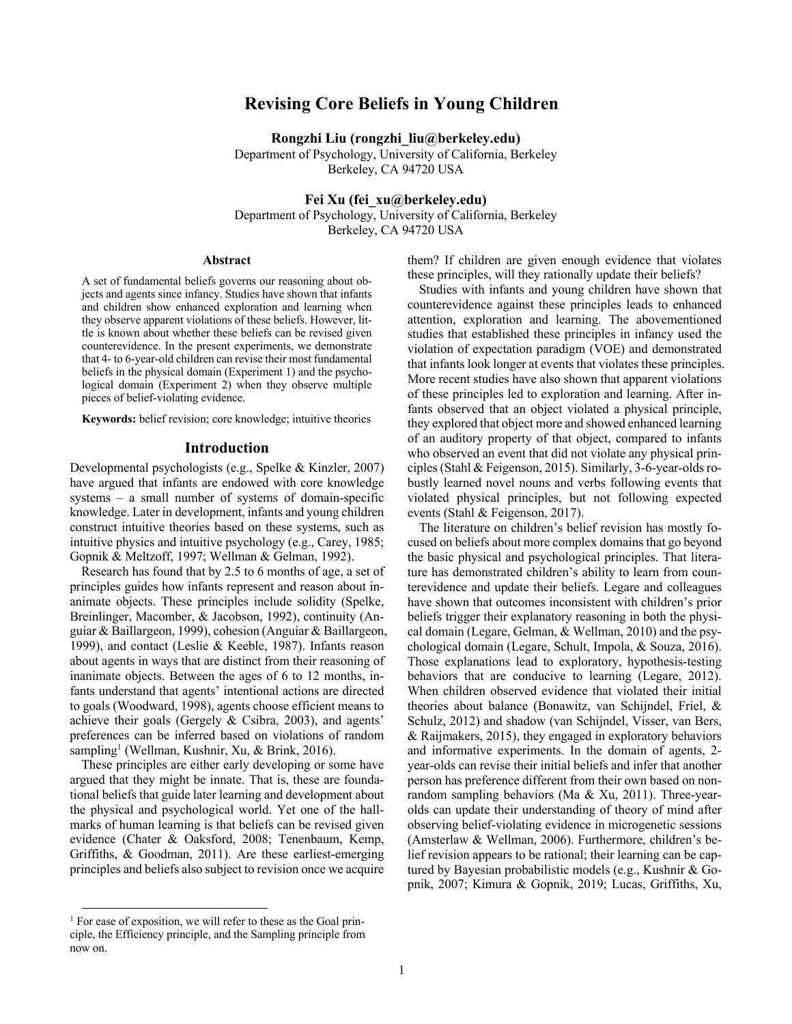# **Revising Core Beliefs in Young Children**

**Rongzhi Liu (rongzhi\_liu@berkeley.edu)** Department of Psychology, University of California, Berkeley Berkeley, CA 94720 USA

**Fei Xu (fei\_xu@berkeley.edu)**

Department of Psychology, University of California, Berkeley Berkeley, CA 94720 USA

### **Abstract**

A set of fundamental beliefs governs our reasoning about objects and agents since infancy. Studies have shown that infants and children show enhanced exploration and learning when they observe apparent violations of these beliefs. However, little is known about whether these beliefs can be revised given counterevidence. In the present experiments, we demonstrate that 4- to 6-year-old children can revise their most fundamental beliefs in the physical domain (Experiment 1) and the psychological domain (Experiment 2) when they observe multiple pieces of belief-violating evidence.

**Keywords:** belief revision; core knowledge; intuitive theories

## **Introduction**

Developmental psychologists (e.g., Spelke & Kinzler, 2007) have argued that infants are endowed with core knowledge systems – a small number of systems of domain-specific knowledge. Later in development, infants and young children construct intuitive theories based on these systems, such as intuitive physics and intuitive psychology (e.g., Carey, 1985; Gopnik & Meltzoff, 1997; Wellman & Gelman, 1992).

Research has found that by 2.5 to 6 months of age, a set of principles guides how infants represent and reason about inanimate objects. These principles include solidity (Spelke, Breinlinger, Macomber, & Jacobson, 1992), continuity (Anguiar & Baillargeon, 1999), cohesion (Anguiar & Baillargeon, 1999), and contact (Leslie & Keeble, 1987). Infants reason about agents in ways that are distinct from their reasoning of inanimate objects. Between the ages of 6 to 12 months, infants understand that agents' intentional actions are directed to goals (Woodward, 1998), agents choose efficient means to achieve their goals (Gergely & Csibra, 2003), and agents' preferences can be inferred based on violations of random sampling<sup>1</sup> (Wellman, Kushnir, Xu, & Brink, 2016).

These principles are either early developing or some have argued that they might be innate. That is, these are foundational beliefs that guide later learning and development about the physical and psychological world. Yet one of the hallmarks of human learning is that beliefs can be revised given evidence (Chater & Oaksford, 2008; Tenenbaum, Kemp, Griffiths, & Goodman, 2011). Are these earliest-emerging principles and beliefs also subject to revision once we acquire them? If children are given enough evidence that violates these principles, will they rationally update their beliefs?

Studies with infants and young children have shown that counterevidence against these principles leads to enhanced attention, exploration and learning. The abovementioned studies that established these principles in infancy used the violation of expectation paradigm (VOE) and demonstrated that infants look longer at events that violates these principles. More recent studies have also shown that apparent violations of these principles led to exploration and learning. After infants observed that an object violated a physical principle, they explored that object more and showed enhanced learning of an auditory property of that object, compared to infants who observed an event that did not violate any physical principles(Stahl & Feigenson, 2015). Similarly, 3-6-year-olds robustly learned novel nouns and verbs following events that violated physical principles, but not following expected events (Stahl & Feigenson, 2017).

The literature on children's belief revision has mostly focused on beliefs about more complex domains that go beyond the basic physical and psychological principles. That literature has demonstrated children's ability to learn from counterevidence and update their beliefs. Legare and colleagues have shown that outcomes inconsistent with children's prior beliefs trigger their explanatory reasoning in both the physical domain (Legare, Gelman, & Wellman, 2010) and the psychological domain (Legare, Schult, Impola, & Souza, 2016). Those explanations lead to exploratory, hypothesis-testing behaviors that are conducive to learning (Legare, 2012). When children observed evidence that violated their initial theories about balance (Bonawitz, van Schijndel, Friel, & Schulz, 2012) and shadow (van Schijndel, Visser, van Bers, & Raijmakers, 2015), they engaged in exploratory behaviors and informative experiments. In the domain of agents, 2 year-olds can revise their initial beliefs and infer that another person has preference different from their own based on nonrandom sampling behaviors (Ma & Xu, 2011). Three-yearolds can update their understanding of theory of mind after observing belief-violating evidence in microgenetic sessions (Amsterlaw & Wellman, 2006). Furthermore, children's belief revision appears to be rational; their learning can be captured by Bayesian probabilistic models (e.g., Kushnir & Gopnik, 2007; Kimura & Gopnik, 2019; Lucas, Griffiths, Xu,

<sup>&</sup>lt;sup>1</sup> For ease of exposition, we will refer to these as the Goal principle, the Efficiency principle, and the Sampling principle from now on.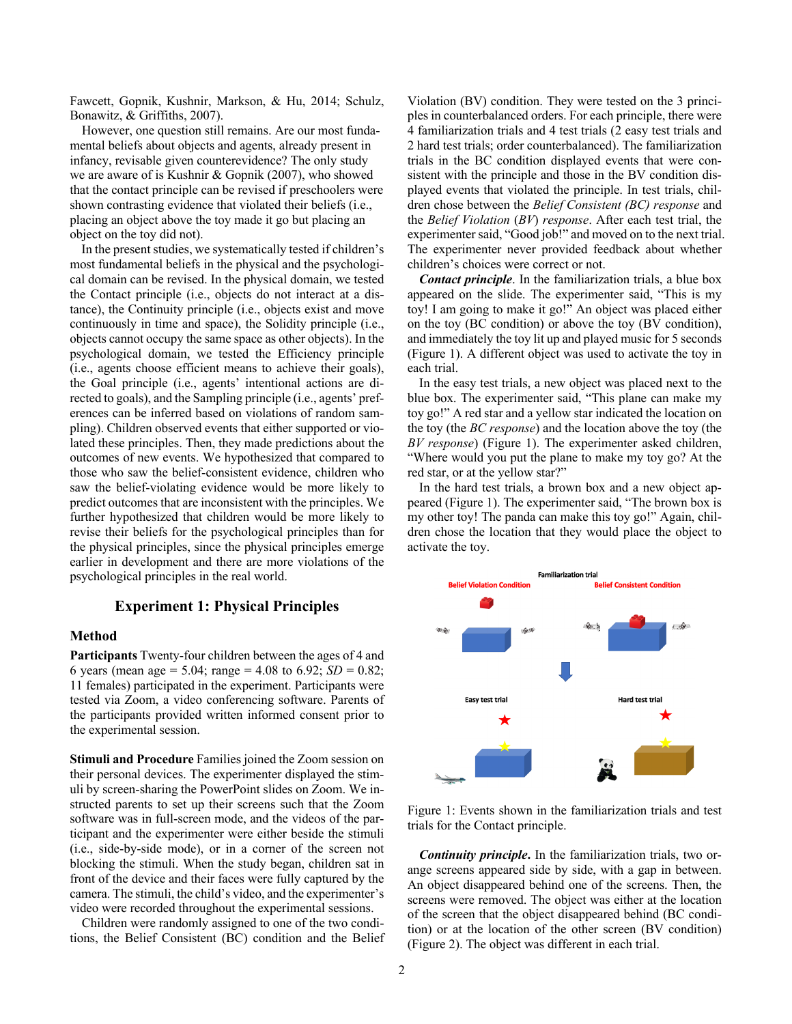Fawcett, Gopnik, Kushnir, Markson, & Hu, 2014; Schulz, Bonawitz, & Griffiths, 2007).

However, one question still remains. Are our most fundamental beliefs about objects and agents, already present in infancy, revisable given counterevidence? The only study we are aware of is Kushnir & Gopnik (2007), who showed that the contact principle can be revised if preschoolers were shown contrasting evidence that violated their beliefs (i.e., placing an object above the toy made it go but placing an object on the toy did not).

In the present studies, we systematically tested if children's most fundamental beliefs in the physical and the psychological domain can be revised. In the physical domain, we tested the Contact principle (i.e., objects do not interact at a distance), the Continuity principle (i.e., objects exist and move continuously in time and space), the Solidity principle (i.e., objects cannot occupy the same space as other objects). In the psychological domain, we tested the Efficiency principle (i.e., agents choose efficient means to achieve their goals), the Goal principle (i.e., agents' intentional actions are directed to goals), and the Sampling principle (i.e., agents' preferences can be inferred based on violations of random sampling). Children observed events that either supported or violated these principles. Then, they made predictions about the outcomes of new events. We hypothesized that compared to those who saw the belief-consistent evidence, children who saw the belief-violating evidence would be more likely to predict outcomes that are inconsistent with the principles. We further hypothesized that children would be more likely to revise their beliefs for the psychological principles than for the physical principles, since the physical principles emerge earlier in development and there are more violations of the psychological principles in the real world.

### **Experiment 1: Physical Principles**

### **Method**

**Participants** Twenty-four children between the ages of 4 and 6 years (mean age = 5.04; range = 4.08 to 6.92;  $SD = 0.82$ ; 11 females) participated in the experiment. Participants were tested via Zoom, a video conferencing software. Parents of the participants provided written informed consent prior to the experimental session.

**Stimuli and Procedure** Families joined the Zoom session on their personal devices. The experimenter displayed the stimuli by screen-sharing the PowerPoint slides on Zoom. We instructed parents to set up their screens such that the Zoom software was in full-screen mode, and the videos of the participant and the experimenter were either beside the stimuli (i.e., side-by-side mode), or in a corner of the screen not blocking the stimuli. When the study began, children sat in front of the device and their faces were fully captured by the camera. The stimuli, the child's video, and the experimenter's video were recorded throughout the experimental sessions.

Children were randomly assigned to one of the two conditions, the Belief Consistent (BC) condition and the Belief Violation (BV) condition. They were tested on the 3 principles in counterbalanced orders. For each principle, there were 4 familiarization trials and 4 test trials (2 easy test trials and 2 hard test trials; order counterbalanced). The familiarization trials in the BC condition displayed events that were consistent with the principle and those in the BV condition displayed events that violated the principle. In test trials, children chose between the *Belief Consistent (BC) response* and the *Belief Violation* (*BV*) *response*. After each test trial, the experimenter said, "Good job!" and moved on to the next trial. The experimenter never provided feedback about whether children's choices were correct or not.

*Contact principle*. In the familiarization trials, a blue box appeared on the slide. The experimenter said, "This is my toy! I am going to make it go!" An object was placed either on the toy (BC condition) or above the toy (BV condition), and immediately the toy lit up and played music for 5 seconds (Figure 1). A different object was used to activate the toy in each trial.

In the easy test trials, a new object was placed next to the blue box. The experimenter said, "This plane can make my toy go!" A red star and a yellow star indicated the location on the toy (the *BC response*) and the location above the toy (the *BV response*) (Figure 1). The experimenter asked children, "Where would you put the plane to make my toy go? At the red star, or at the yellow star?"

In the hard test trials, a brown box and a new object appeared (Figure 1). The experimenter said, "The brown box is my other toy! The panda can make this toy go!" Again, children chose the location that they would place the object to activate the toy.



Figure 1: Events shown in the familiarization trials and test trials for the Contact principle.

*Continuity principle***.** In the familiarization trials, two orange screens appeared side by side, with a gap in between. An object disappeared behind one of the screens. Then, the screens were removed. The object was either at the location of the screen that the object disappeared behind (BC condition) or at the location of the other screen (BV condition) (Figure 2). The object was different in each trial.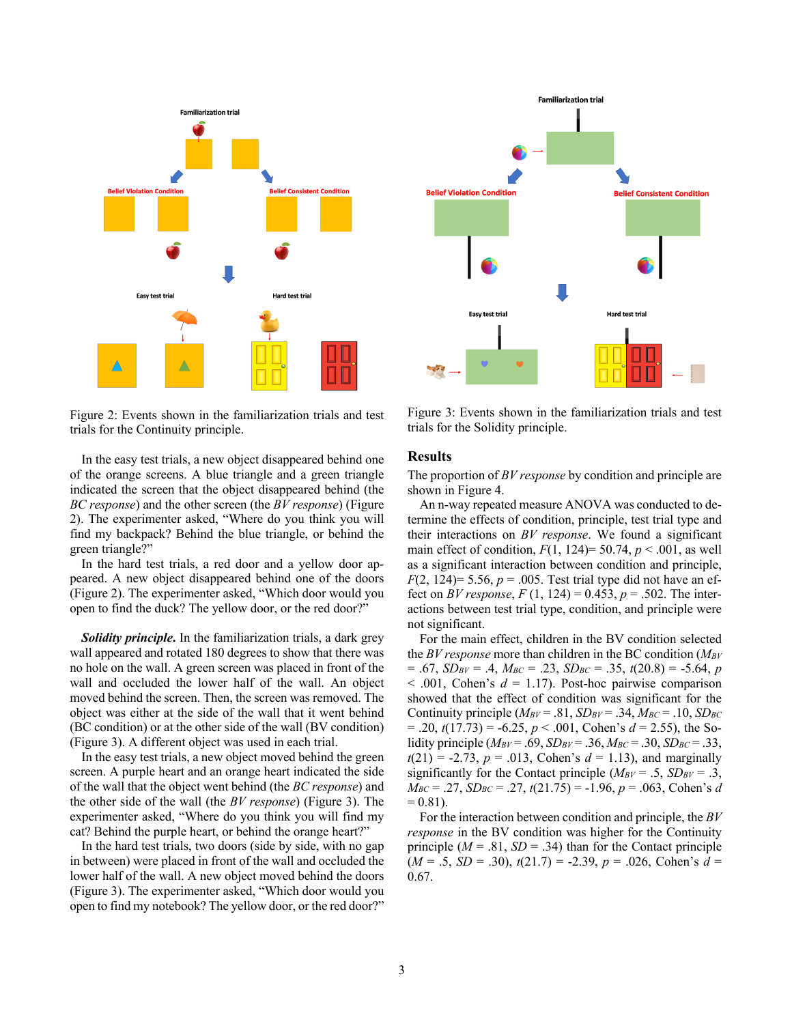

Figure 2: Events shown in the familiarization trials and test trials for the Continuity principle.

In the easy test trials, a new object disappeared behind one of the orange screens. A blue triangle and a green triangle indicated the screen that the object disappeared behind (the *BC response*) and the other screen (the *BV response*) (Figure 2). The experimenter asked, "Where do you think you will find my backpack? Behind the blue triangle, or behind the green triangle?"

In the hard test trials, a red door and a yellow door appeared. A new object disappeared behind one of the doors (Figure 2). The experimenter asked, "Which door would you open to find the duck? The yellow door, or the red door?"

*Solidity principle***.** In the familiarization trials, a dark grey wall appeared and rotated 180 degrees to show that there was no hole on the wall. A green screen was placed in front of the wall and occluded the lower half of the wall. An object moved behind the screen. Then, the screen was removed. The object was either at the side of the wall that it went behind (BC condition) or at the other side of the wall (BV condition) (Figure 3). A different object was used in each trial.

In the easy test trials, a new object moved behind the green screen. A purple heart and an orange heart indicated the side of the wall that the object went behind (the *BC response*) and the other side of the wall (the *BV response*) (Figure 3). The experimenter asked, "Where do you think you will find my cat? Behind the purple heart, or behind the orange heart?"

In the hard test trials, two doors (side by side, with no gap in between) were placed in front of the wall and occluded the lower half of the wall. A new object moved behind the doors (Figure 3). The experimenter asked, "Which door would you open to find my notebook? The yellow door, or the red door?"



Figure 3: Events shown in the familiarization trials and test trials for the Solidity principle.

#### **Results**

The proportion of *BV response* by condition and principle are shown in Figure 4.

An n-way repeated measure ANOVA was conducted to determine the effects of condition, principle, test trial type and their interactions on *BV response*. We found a significant main effect of condition,  $F(1, 124)=50.74$ ,  $p < .001$ , as well as a significant interaction between condition and principle, *F*(2, 124) = 5.56,  $p = .005$ . Test trial type did not have an effect on *BV response*,  $F(1, 124) = 0.453$ ,  $p = .502$ . The interactions between test trial type, condition, and principle were not significant.

For the main effect, children in the BV condition selected the *BV response* more than children in the BC condition (*MBV*  $= .67$ ,  $SD_{BV} = .4$ ,  $M_{BC} = .23$ ,  $SD_{BC} = .35$ ,  $t(20.8) = -5.64$ , *p*  $<$  .001, Cohen's  $d = 1.17$ ). Post-hoc pairwise comparison showed that the effect of condition was significant for the Continuity principle  $(M_{BV} = .81, SD_{BV} = .34, M_{BC} = .10, SD_{BC}$  $= .20, t(17.73) = -6.25, p < .001$ , Cohen's  $d = 2.55$ ), the Solidity principle ( $M_{BV} = .69$ ,  $SD_{BV} = .36$ ,  $M_{BC} = .30$ ,  $SD_{BC} = .33$ ,  $t(21) = -2.73$ ,  $p = .013$ , Cohen's  $d = 1.13$ ), and marginally significantly for the Contact principle  $(M_{BV} = .5, SD_{BV} = .3,$  $M_{BC} = .27$ ,  $SD_{BC} = .27$ ,  $t(21.75) = -1.96$ ,  $p = .063$ , Cohen's *d*  $= 0.81$ .

For the interaction between condition and principle, the *BV response* in the BV condition was higher for the Continuity principle  $(M = .81, SD = .34)$  than for the Contact principle (*M* = .5, *SD* = .30), *t*(21.7) = -2.39, *p* = .026, Cohen's *d* = 0.67.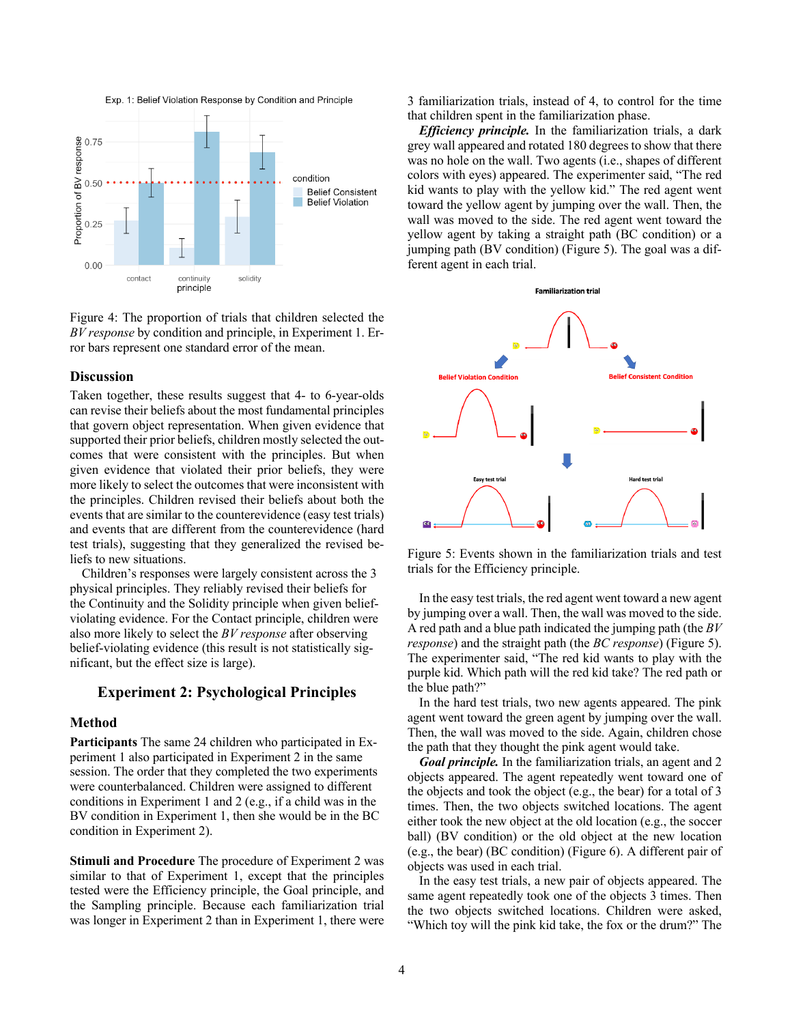



### **Discussion**

Taken together, these results suggest that 4- to 6-year-olds can revise their beliefs about the most fundamental principles that govern object representation. When given evidence that supported their prior beliefs, children mostly selected the outcomes that were consistent with the principles. But when given evidence that violated their prior beliefs, they were more likely to select the outcomes that were inconsistent with the principles. Children revised their beliefs about both the events that are similar to the counterevidence (easy test trials) and events that are different from the counterevidence (hard test trials), suggesting that they generalized the revised beliefs to new situations.

Children's responses were largely consistent across the 3 physical principles. They reliably revised their beliefs for the Continuity and the Solidity principle when given beliefviolating evidence. For the Contact principle, children were also more likely to select the *BV response* after observing belief-violating evidence (this result is not statistically significant, but the effect size is large).

### **Experiment 2: Psychological Principles**

### **Method**

**Participants** The same 24 children who participated in Experiment 1 also participated in Experiment 2 in the same session. The order that they completed the two experiments were counterbalanced. Children were assigned to different conditions in Experiment 1 and 2 (e.g., if a child was in the BV condition in Experiment 1, then she would be in the BC condition in Experiment 2).

**Stimuli and Procedure** The procedure of Experiment 2 was similar to that of Experiment 1, except that the principles tested were the Efficiency principle, the Goal principle, and the Sampling principle. Because each familiarization trial was longer in Experiment 2 than in Experiment 1, there were 3 familiarization trials, instead of 4, to control for the time that children spent in the familiarization phase.

*Efficiency principle.* In the familiarization trials, a dark grey wall appeared and rotated 180 degrees to show that there was no hole on the wall. Two agents (i.e., shapes of different colors with eyes) appeared. The experimenter said, "The red kid wants to play with the yellow kid." The red agent went toward the yellow agent by jumping over the wall. Then, the wall was moved to the side. The red agent went toward the yellow agent by taking a straight path (BC condition) or a jumping path (BV condition) (Figure 5). The goal was a different agent in each trial.



Figure 5: Events shown in the familiarization trials and test trials for the Efficiency principle.

In the easy test trials, the red agent went toward a new agent by jumping over a wall. Then, the wall was moved to the side. A red path and a blue path indicated the jumping path (the *BV response*) and the straight path (the *BC response*) (Figure 5). The experimenter said, "The red kid wants to play with the purple kid. Which path will the red kid take? The red path or the blue path?"

In the hard test trials, two new agents appeared. The pink agent went toward the green agent by jumping over the wall. Then, the wall was moved to the side. Again, children chose the path that they thought the pink agent would take.

*Goal principle.* In the familiarization trials, an agent and 2 objects appeared. The agent repeatedly went toward one of the objects and took the object (e.g., the bear) for a total of 3 times. Then, the two objects switched locations. The agent either took the new object at the old location (e.g., the soccer ball) (BV condition) or the old object at the new location (e.g., the bear) (BC condition) (Figure 6). A different pair of objects was used in each trial.

In the easy test trials, a new pair of objects appeared. The same agent repeatedly took one of the objects 3 times. Then the two objects switched locations. Children were asked, "Which toy will the pink kid take, the fox or the drum?" The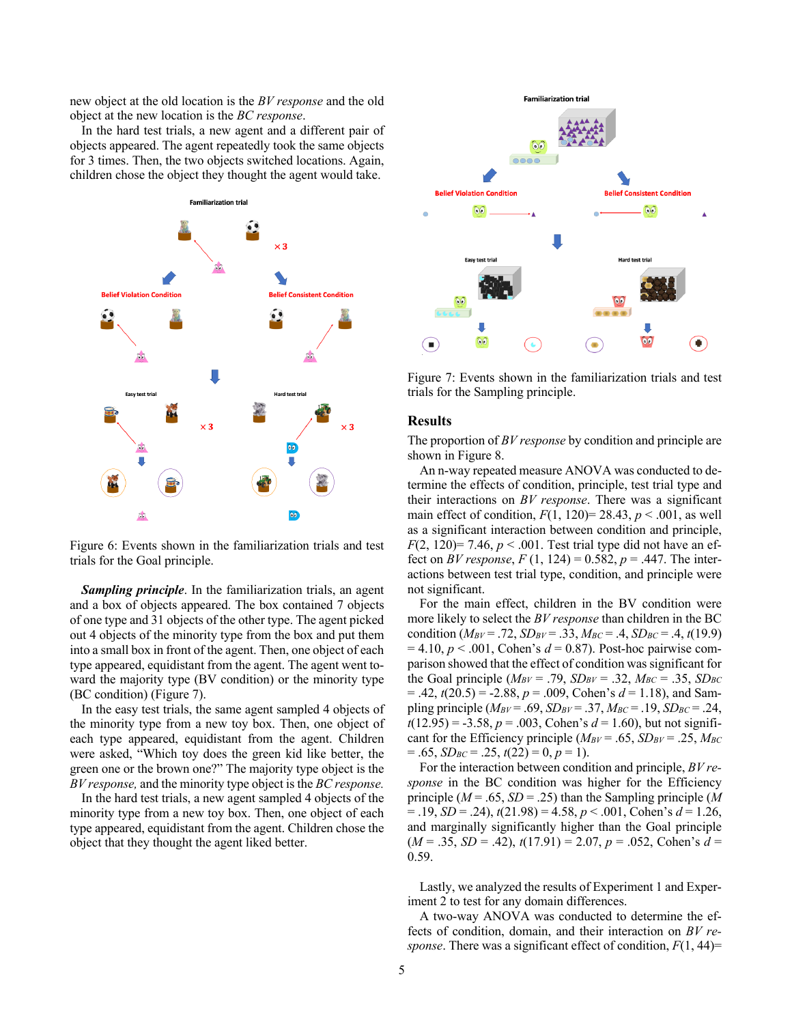new object at the old location is the *BV response* and the old object at the new location is the *BC response*.

In the hard test trials, a new agent and a different pair of objects appeared. The agent repeatedly took the same objects for 3 times. Then, the two objects switched locations. Again, children chose the object they thought the agent would take.



Figure 6: Events shown in the familiarization trials and test trials for the Goal principle.

*Sampling principle*. In the familiarization trials, an agent and a box of objects appeared. The box contained 7 objects of one type and 31 objects of the other type. The agent picked out 4 objects of the minority type from the box and put them into a small box in front of the agent. Then, one object of each type appeared, equidistant from the agent. The agent went toward the majority type (BV condition) or the minority type (BC condition) (Figure 7).

In the easy test trials, the same agent sampled 4 objects of the minority type from a new toy box. Then, one object of each type appeared, equidistant from the agent. Children were asked, "Which toy does the green kid like better, the green one or the brown one?" The majority type object is the *BV response,* and the minority type object is the *BC response.*

In the hard test trials, a new agent sampled 4 objects of the minority type from a new toy box. Then, one object of each type appeared, equidistant from the agent. Children chose the object that they thought the agent liked better.



Figure 7: Events shown in the familiarization trials and test trials for the Sampling principle.

### **Results**

The proportion of *BV response* by condition and principle are shown in Figure 8.

An n-way repeated measure ANOVA was conducted to determine the effects of condition, principle, test trial type and their interactions on *BV response*. There was a significant main effect of condition,  $F(1, 120) = 28.43$ ,  $p < .001$ , as well as a significant interaction between condition and principle, *F*(2, 120)= 7.46,  $p < .001$ . Test trial type did not have an effect on *BV response*,  $F(1, 124) = 0.582$ ,  $p = .447$ . The interactions between test trial type, condition, and principle were not significant.

For the main effect, children in the BV condition were more likely to select the *BV response* than children in the BC condition ( $M_{BV} = .72$ ,  $SD_{BV} = .33$ ,  $M_{BC} = .4$ ,  $SD_{BC} = .4$ ,  $t(19.9)$ )  $= 4.10, p < .001$ , Cohen's  $d = 0.87$ ). Post-hoc pairwise comparison showed that the effect of condition was significant for the Goal principle  $(M_{BV} = .79, SD_{BV} = .32, M_{BC} = .35, SD_{BC}$  $= .42, t(20.5) = -2.88, p = .009$ , Cohen's  $d = 1.18$ ), and Sampling principle  $(M_{BV} = .69, SD_{BV} = .37, M_{BC} = .19, SD_{BC} = .24,$  $t(12.95) = -3.58$ ,  $p = .003$ , Cohen's  $d = 1.60$ ), but not significant for the Efficiency principle  $(M_{BV} = .65, SD_{BV} = .25, M_{BC})$  $= .65, SD_{BC} = .25, t(22) = 0, p = 1$ .

For the interaction between condition and principle, *BV response* in the BC condition was higher for the Efficiency principle (*M* = .65, *SD* = .25) than the Sampling principle (*M* = .19, *SD* = .24), *t*(21.98) = 4.58, *p* < .001, Cohen's *d* = 1.26, and marginally significantly higher than the Goal principle (*M* = .35, *SD* = .42), *t*(17.91) = 2.07, *p* = .052, Cohen's *d* = 0.59.

Lastly, we analyzed the results of Experiment 1 and Experiment 2 to test for any domain differences.

A two-way ANOVA was conducted to determine the effects of condition, domain, and their interaction on *BV response*. There was a significant effect of condition, *F*(1, 44)=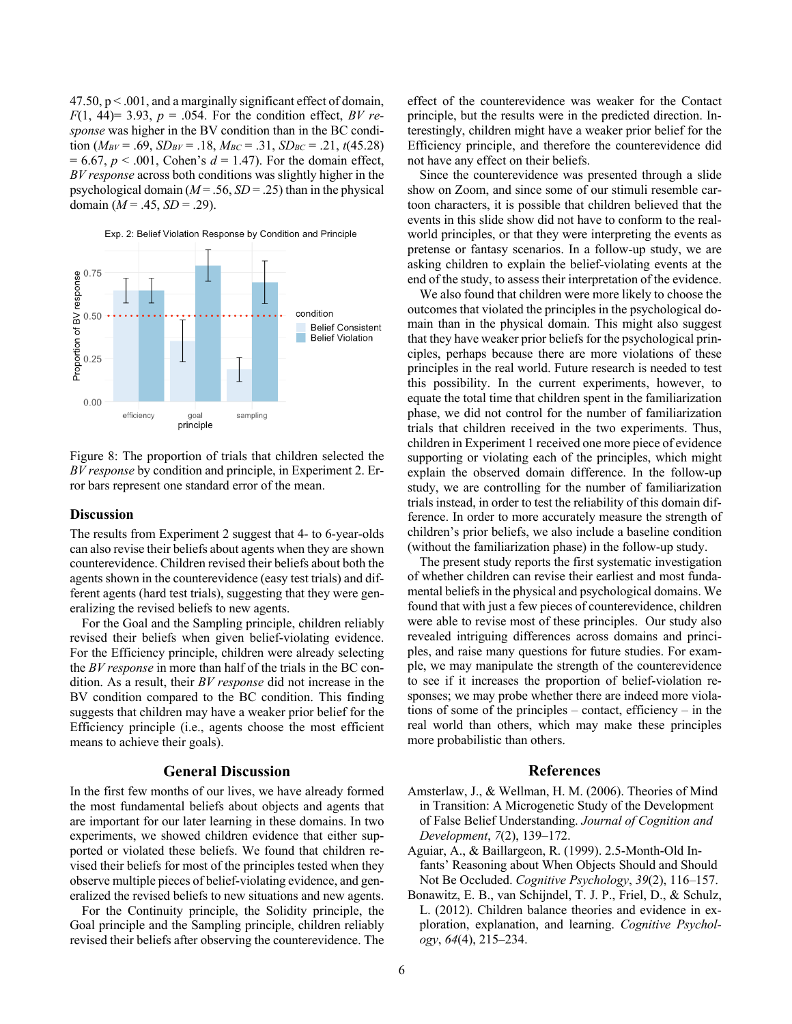$47.50$ ,  $p < .001$ , and a marginally significant effect of domain,  $F(1, 44) = 3.93$ ,  $p = 0.054$ . For the condition effect, *BV response* was higher in the BV condition than in the BC condition ( $M_{BV} = .69$ ,  $SD_{BV} = .18$ ,  $M_{BC} = .31$ ,  $SD_{BC} = .21$ ,  $t(45.28)$ )  $= 6.67$ ,  $p < .001$ , Cohen's  $d = 1.47$ ). For the domain effect, *BV response* across both conditions was slightly higher in the psychological domain  $(M = .56, SD = .25)$  than in the physical domain  $(M = .45, SD = .29)$ .

Exp. 2: Belief Violation Response by Condition and Principle



Figure 8: The proportion of trials that children selected the *BV response* by condition and principle, in Experiment 2. Error bars represent one standard error of the mean.

#### **Discussion**

The results from Experiment 2 suggest that 4- to 6-year-olds can also revise their beliefs about agents when they are shown counterevidence. Children revised their beliefs about both the agents shown in the counterevidence (easy test trials) and different agents (hard test trials), suggesting that they were generalizing the revised beliefs to new agents.

For the Goal and the Sampling principle, children reliably revised their beliefs when given belief-violating evidence. For the Efficiency principle, children were already selecting the *BV response* in more than half of the trials in the BC condition. As a result, their *BV response* did not increase in the BV condition compared to the BC condition. This finding suggests that children may have a weaker prior belief for the Efficiency principle (i.e., agents choose the most efficient means to achieve their goals).

### **General Discussion**

In the first few months of our lives, we have already formed the most fundamental beliefs about objects and agents that are important for our later learning in these domains. In two experiments, we showed children evidence that either supported or violated these beliefs. We found that children revised their beliefs for most of the principles tested when they observe multiple pieces of belief-violating evidence, and generalized the revised beliefs to new situations and new agents.

For the Continuity principle, the Solidity principle, the Goal principle and the Sampling principle, children reliably revised their beliefs after observing the counterevidence. The effect of the counterevidence was weaker for the Contact principle, but the results were in the predicted direction. Interestingly, children might have a weaker prior belief for the Efficiency principle, and therefore the counterevidence did not have any effect on their beliefs.

Since the counterevidence was presented through a slide show on Zoom, and since some of our stimuli resemble cartoon characters, it is possible that children believed that the events in this slide show did not have to conform to the realworld principles, or that they were interpreting the events as pretense or fantasy scenarios. In a follow-up study, we are asking children to explain the belief-violating events at the end of the study, to assess their interpretation of the evidence.

We also found that children were more likely to choose the outcomes that violated the principles in the psychological domain than in the physical domain. This might also suggest that they have weaker prior beliefs for the psychological principles, perhaps because there are more violations of these principles in the real world. Future research is needed to test this possibility. In the current experiments, however, to equate the total time that children spent in the familiarization phase, we did not control for the number of familiarization trials that children received in the two experiments. Thus, children in Experiment 1 received one more piece of evidence supporting or violating each of the principles, which might explain the observed domain difference. In the follow-up study, we are controlling for the number of familiarization trials instead, in order to test the reliability of this domain difference. In order to more accurately measure the strength of children's prior beliefs, we also include a baseline condition (without the familiarization phase) in the follow-up study.

The present study reports the first systematic investigation of whether children can revise their earliest and most fundamental beliefs in the physical and psychological domains. We found that with just a few pieces of counterevidence, children were able to revise most of these principles. Our study also revealed intriguing differences across domains and principles, and raise many questions for future studies. For example, we may manipulate the strength of the counterevidence to see if it increases the proportion of belief-violation responses; we may probe whether there are indeed more violations of some of the principles – contact, efficiency – in the real world than others, which may make these principles more probabilistic than others.

#### **References**

- Amsterlaw, J., & Wellman, H. M. (2006). Theories of Mind in Transition: A Microgenetic Study of the Development of False Belief Understanding. *Journal of Cognition and Development*, *7*(2), 139–172.
- Aguiar, A., & Baillargeon, R. (1999). 2.5-Month-Old Infants' Reasoning about When Objects Should and Should Not Be Occluded. *Cognitive Psychology*, *39*(2), 116–157.
- Bonawitz, E. B., van Schijndel, T. J. P., Friel, D., & Schulz, L. (2012). Children balance theories and evidence in exploration, explanation, and learning. *Cognitive Psychology*, *64*(4), 215–234.